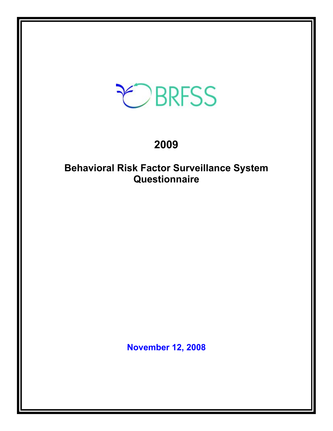# EBRFSS

# **2009**

# **Behavioral Risk Factor Surveillance System Questionnaire**

**November 12, 2008**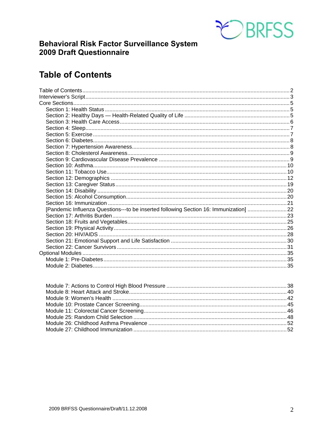

# **Behavioral Risk Factor Surveillance System 2009 Draft Questionnaire**

# **Table of Contents**

| [Pandemic Influenza Questions---to be inserted following Section 16: Immunization] 22 |  |
|---------------------------------------------------------------------------------------|--|
|                                                                                       |  |
|                                                                                       |  |
|                                                                                       |  |
|                                                                                       |  |
|                                                                                       |  |
|                                                                                       |  |
|                                                                                       |  |
|                                                                                       |  |
|                                                                                       |  |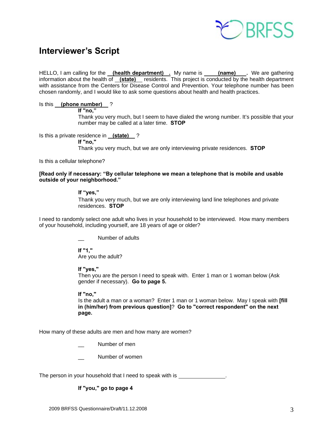

# **Interviewer's Script**

HELLO, I am calling for the **(health department)** . My name is **(name)** . We are gathering information about the health of **(state)** residents. This project is conducted by the health department with assistance from the Centers for Disease Control and Prevention. Your telephone number has been chosen randomly, and I would like to ask some questions about health and health practices.

#### Is this **(phone number)** ?

 **If "no,"** 

 Thank you very much, but I seem to have dialed the wrong number. It's possible that your number may be called at a later time. **STOP**

Is this a private residence in **(state)** ?

 **If "no,"**

Thank you very much, but we are only interviewing private residences. **STOP**

Is this a cellular telephone?

#### **[Read only if necessary: "By cellular telephone we mean a telephone that is mobile and usable outside of your neighborhood."**

#### **If "yes,"**

Thank you very much, but we are only interviewing land line telephones and private residences. **STOP** 

I need to randomly select one adult who lives in your household to be interviewed. How many members of your household, including yourself, are 18 years of age or older?

Number of adults

 **If "1,"**  Are you the adult?

 **If "yes,"** 

Then you are the person I need to speak with. Enter 1 man or 1 woman below (Ask gender if necessary). **Go to page 5.**

#### **If "no,"**

 Is the adult a man or a woman? Enter 1 man or 1 woman below. May I speak with **[fill in (him/her) from previous question]**? **Go to "correct respondent" on the next page.**

How many of these adults are men and how many are women?

Number of men

Number of women

The person in your household that I need to speak with is \_\_\_\_\_\_\_\_\_\_\_\_\_\_\_.

#### **If "you," go to page 4**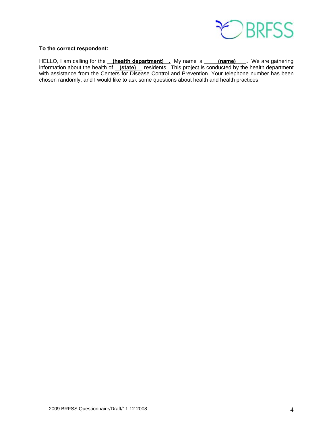

#### **To the correct respondent:**

HELLO, I am calling for the **(health department)** . My name is **(name)** . We are gathering information about the health of **(state)** residents. This project is conducted by the health department with assistance from the Centers for Disease Control and Prevention. Your telephone number has been chosen randomly, and I would like to ask some questions about health and health practices.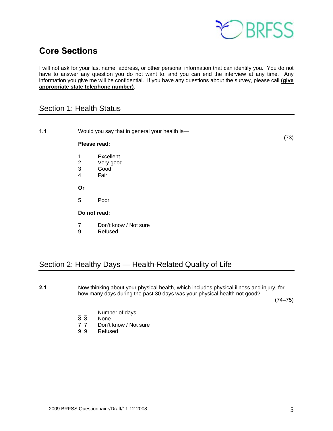

# **Core Sections**

I will not ask for your last name, address, or other personal information that can identify you. You do not have to answer any question you do not want to, and you can end the interview at any time. Any information you give me will be confidential. If you have any questions about the survey, please call **(give appropriate state telephone number)**.

# Section 1: Health Status

| 1.1 |                         | Would you say that in general your health is-            |      |
|-----|-------------------------|----------------------------------------------------------|------|
|     | Please read:            |                                                          | (73) |
|     | 1<br>$\frac{2}{3}$<br>4 | Excellent<br>Very good<br>Good<br>Fair                   |      |
|     | Or                      |                                                          |      |
|     | 5                       | Poor                                                     |      |
|     | Do not read:            |                                                          |      |
|     | 7<br>9                  | Don't know / Not sure<br>Refused                         |      |
|     |                         |                                                          |      |
|     |                         | Section 2: Healthy Days — Health-Related Quality of Life |      |

**2.1** Now thinking about your physical health, which includes physical illness and injury, for how many days during the past 30 days was your physical health not good?

 $(74-75)$ 

- $\frac{1}{8}$   $\frac{1}{8}$  Number of days
- **None**
- 7 7 Don't know / Not sure<br>9 9 Refused
- **Refused**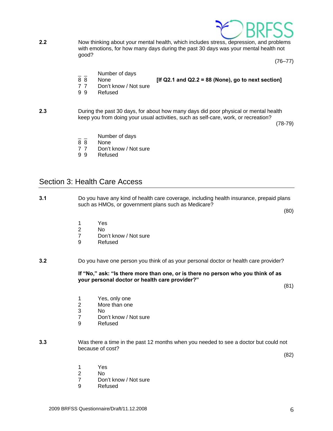

**2.2** Now thinking about your mental health, which includes stress, depression, and problems with emotions, for how many days during the past 30 days was your mental health not good?

 $(76 - 77)$ 

- $\frac{1}{8}$   $\frac{1}{8}$  Number of days
	- 8 8 None **[If Q2.1 and Q2.2 = 88 (None), go to next section]**
- 
- 7 7 Don't know / Not sure
- 9 9 Refused

**2.3** During the past 30 days, for about how many days did poor physical or mental health keep you from doing your usual activities, such as self-care, work, or recreation?

 $(78-79)$ 

- $\frac{1}{8}$   $\frac{1}{8}$  Number of days
- None
- 7 7 Don't know / Not sure
- 9 9 Refused

#### Section 3: Health Care Access

**3.1** Do you have any kind of health care coverage, including health insurance, prepaid plans such as HMOs, or government plans such as Medicare?

(80)

- 
- 1 Yes<br>2 No 2 No
	- 7 Don't know / Not sure<br>9 Refused
	- **Refused**
- **3.2** Do you have one person you think of as your personal doctor or health care provider?

 **If "No," ask: "Is there more than one, or is there no person who you think of as your personal doctor or health care provider?"** 

(81)

- 1 Yes, only one
- 2 More than one
- 3 No
	- 7 Don't know / Not sure
	- 9 Refused
- **3.3** Was there a time in the past 12 months when you needed to see a doctor but could not because of cost?

(82)

- 1 Yes
- 2 No
	- 7 Don't know / Not sure
	- 9 Refused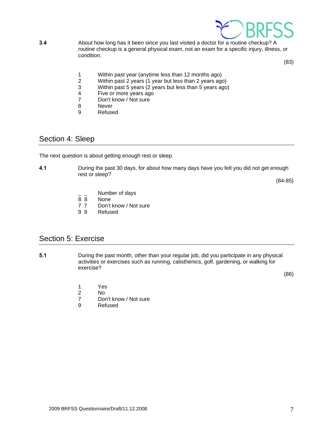

**3.4** About how long has it been since you last visited a doctor for a routine checkup? A routine checkup is a general physical exam, not an exam for a specific injury, illness, or condition.

(83)

- 1 Within past year (anytime less than 12 months ago)<br>2 Within past 2 years (1 year but less than 2 years ago
- 2 Within past 2 years (1 year but less than 2 years ago)<br>3 Within past 5 years (2 years but less than 5 years ago
- Within past 5 years (2 years but less than 5 years ago)
- 4 Five or more years ago<br>7 Don't know / Not sure
- 7 Don't know / Not sure<br>8 Never
- **Never**
- 9 Refused

# Section 4: Sleep

The next question is about getting enough rest or sleep.

**4.1** During the past 30 days, for about how many days have you felt you did not get enough rest or sleep?

(84-85)

- $\frac{1}{8}$   $\frac{1}{8}$  Number of days
- None
- 7 7 Don't know / Not sure
- 9 9 Refused

## Section 5: Exercise

**5.1** During the past month, other than your regular job, did you participate in any physical activities or exercises such as running, calisthenics, golf, gardening, or walking for exercise?

 $(86)$ 

- 1 Yes<br>2 No
- No
- 7 Don't know / Not sure<br>9 Refused
- **Refused**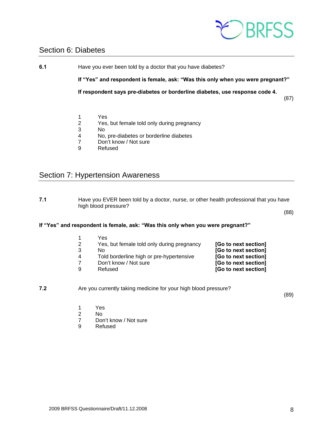

## Section 6: Diabetes

**6.1** Have you ever been told by a doctor that you have diabetes?

 **If "Yes" and respondent is female, ask: "Was this only when you were pregnant?"** 

**If respondent says pre-diabetes or borderline diabetes, use response code 4.** 

(87)

- 1 Yes<br>2 Yes,
- 2 Yes, but female told only during pregnancy
- 3 No<br>4 No.
- No, pre-diabetes or borderline diabetes
- 7 Don't know / Not sure
- 9 Refused

# Section 7: Hypertension Awareness

**7.1** Have you EVER been told by a doctor, nurse, or other health professional that you have high blood pressure?

(88)

#### **If "Yes" and respondent is female, ask: "Was this only when you were pregnant?"**

| Yes                                        |                      |
|--------------------------------------------|----------------------|
| Yes, but female told only during pregnancy | [Go to next section] |
| N٥                                         | [Go to next section] |
| Told borderline high or pre-hypertensive   | [Go to next section] |
| Don't know / Not sure                      | [Go to next section] |
| Refused                                    | [Go to next section] |
|                                            |                      |

#### **7.2** Are you currently taking medicine for your high blood pressure?

(89)

- 1 Yes<br>2 No
- 2 No<br>7 Dor
- Don't know / Not sure
- 9 Refused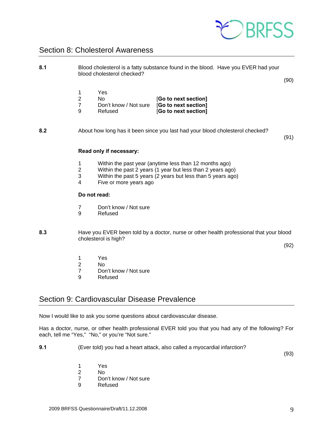

# Section 8: Cholesterol Awareness

| 8.1 |                                            | blood cholesterol checked?                           | Blood cholesterol is a fatty substance found in the blood. Have you EVER had your                                                                                                   | (90) |
|-----|--------------------------------------------|------------------------------------------------------|-------------------------------------------------------------------------------------------------------------------------------------------------------------------------------------|------|
|     | 1<br>$\overline{2}$<br>$\overline{7}$<br>9 | Yes<br><b>No</b><br>Don't know / Not sure<br>Refused | [Go to next section]<br>[Go to next section]<br>[Go to next section]                                                                                                                |      |
| 8.2 |                                            |                                                      | About how long has it been since you last had your blood cholesterol checked?                                                                                                       | (91) |
|     |                                            | Read only if necessary:                              |                                                                                                                                                                                     |      |
|     | 1<br>$\overline{c}$<br>3<br>4              | Five or more years ago                               | Within the past year (anytime less than 12 months ago)<br>Within the past 2 years (1 year but less than 2 years ago)<br>Within the past 5 years (2 years but less than 5 years ago) |      |
|     |                                            | Do not read:                                         |                                                                                                                                                                                     |      |
|     | $\overline{7}$<br>9                        | Don't know / Not sure<br>Refused                     |                                                                                                                                                                                     |      |
| 8.3 |                                            | cholesterol is high?                                 | Have you EVER been told by a doctor, nurse or other health professional that your blood                                                                                             | (92) |
|     | 1<br>$\mathbf 2$<br>7                      | Yes<br>No<br>Don't know / Not sure                   |                                                                                                                                                                                     |      |

*T* Don't know / Not sure<br>9 Refused **Refused** 

## Section 9: Cardiovascular Disease Prevalence

Now I would like to ask you some questions about cardiovascular disease.

Has a doctor, nurse, or other health professional EVER told you that you had any of the following? For each, tell me "Yes," "No," or you're "Not sure."

**9.1** (Ever told) you had a heart attack, also called a myocardial infarction?

(93)

- 1 Yes
- 2 No
	- 7 Don't know / Not sure
	- 9 Refused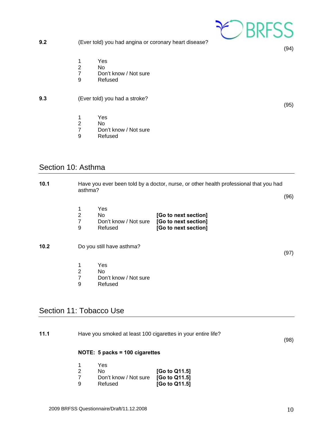- **9.2** (Ever told) you had angina or coronary heart disease? 1 Yes<br>2 No<br>7 Don
	- 2 No
	- 7 Don't know / Not sure<br>9 Refused
	- **Refused**

#### **9.3** (Ever told) you had a stroke?

- 1 Yes
- 2 No<br>7 Dor
- 7 Don't know / Not sure<br>9 Refused
- Refused

# Section 10: Asthma

| 10.1                    | Have you ever been told by a doctor, nurse, or other health professional that you had<br>asthma? |                                                |                                                                      |      |
|-------------------------|--------------------------------------------------------------------------------------------------|------------------------------------------------|----------------------------------------------------------------------|------|
|                         |                                                                                                  |                                                |                                                                      | (96) |
|                         | 1<br>$\overline{2}$<br>$\overline{7}$<br>9                                                       | Yes<br>No.<br>Don't know / Not sure<br>Refused | [Go to next section]<br>[Go to next section]<br>[Go to next section] |      |
| 10.2                    |                                                                                                  | Do you still have asthma?                      |                                                                      | (97) |
|                         | 1<br>$\overline{2}$<br>$\overline{7}$<br>9                                                       | Yes<br>No.<br>Don't know / Not sure<br>Refused |                                                                      |      |
| Section 11: Tobacco Use |                                                                                                  |                                                |                                                                      |      |

| 11.1 | Have you smoked at least 100 cigarettes in your entire life? |      |
|------|--------------------------------------------------------------|------|
|      |                                                              | (98) |
|      | NOTE: $5$ packs = 100 cigarettes                             |      |
|      | V∆c                                                          |      |

|   | Yes                                 |               |
|---|-------------------------------------|---------------|
|   | N٥                                  | [Go to Q11.5] |
|   | Don't know / Not sure [Go to Q11.5] |               |
| a | Refused                             | [Go to Q11.5] |



(95)

(94)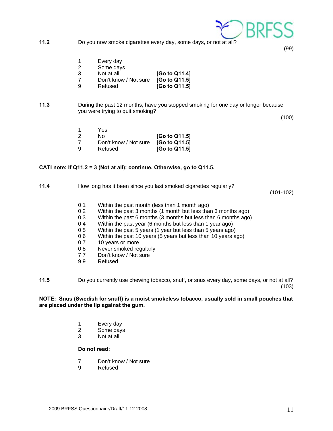

**11.2** Do you now smoke cigarettes every day, some days, or not at all?

(99)

- 1 Every day
- 2 Some days
- 3 Not at all **[Go to Q11.4]**
- 7 Don't know / Not sure **[Go to Q11.5]**
- 9 Refused **[Go to Q11.5]**
- **11.3** During the past 12 months, have you stopped smoking for one day or longer because you were trying to quit smoking?

(100)

|   | Yes                                 |               |
|---|-------------------------------------|---------------|
|   | N٥                                  | [Go to Q11.5] |
|   | Don't know / Not sure [Go to Q11.5] |               |
| a | Refused                             | [Go to Q11.5] |

#### **CATI note: If Q11.2 = 3 (Not at all); continue. Otherwise, go to Q11.5.**

#### **11.4** How long has it been since you last smoked cigarettes regularly?

(101-102)

- 0 1 Within the past month (less than 1 month ago)
- 0 2 Within the past 3 months (1 month but less than 3 months ago)
- 0 3 Within the past 6 months (3 months but less than 6 months ago)
- 0 4 Within the past year (6 months but less than 1 year ago)
- 0 5 Within the past 5 years (1 year but less than 5 years ago)
- 0 6 Within the past 10 years (5 years but less than 10 years ago)
- 0 7 10 years or more
- 0 8 Never smoked regularly
- 7 7 Don't know / Not sure
- 9 9 Refused
- **11.5** Do you currently use chewing tobacco, snuff, or snus every day, some days, or not at all? (103)

#### **NOTE: Snus (Swedish for snuff) is a moist smokeless tobacco, usually sold in small pouches that are placed under the lip against the gum.**

- 1 Every day
- 2 Some days
- 3 Not at all

#### **Do not read:**

- 7 Don't know / Not sure
- 9 Refused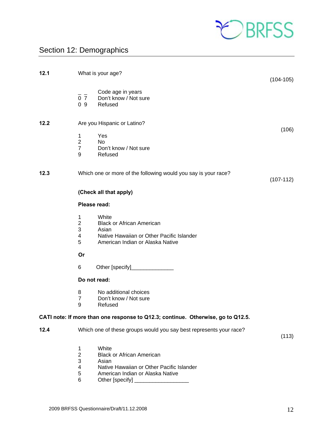

# Section 12: Demographics

| 12.1 |                                                                                        | What is your age?                                                                                                                                      | $(104-105)$ |
|------|----------------------------------------------------------------------------------------|--------------------------------------------------------------------------------------------------------------------------------------------------------|-------------|
|      | $\overline{0}$ $\overline{7}$<br>0 <sub>9</sub>                                        | Code age in years<br>Don't know / Not sure<br>Refused                                                                                                  |             |
| 12.2 |                                                                                        | Are you Hispanic or Latino?                                                                                                                            | (106)       |
|      | 1<br>$\overline{2}$<br>$\overline{7}$<br>9                                             | Yes<br>No<br>Don't know / Not sure<br>Refused                                                                                                          |             |
| 12.3 |                                                                                        | Which one or more of the following would you say is your race?                                                                                         | $(107-112)$ |
|      |                                                                                        | (Check all that apply)                                                                                                                                 |             |
|      | Please read:                                                                           |                                                                                                                                                        |             |
|      | $\mathbf{1}$<br>$\overline{2}$<br>$\mathfrak{S}$<br>$\overline{4}$<br>5                | White<br><b>Black or African American</b><br>Asian<br>Native Hawaiian or Other Pacific Islander<br>American Indian or Alaska Native                    |             |
|      | Or                                                                                     |                                                                                                                                                        |             |
|      | 6                                                                                      |                                                                                                                                                        |             |
|      | Do not read:                                                                           |                                                                                                                                                        |             |
|      | 8<br>$\overline{7}$<br>9                                                               | No additional choices<br>Don't know / Not sure<br>Refused                                                                                              |             |
|      |                                                                                        | CATI note: If more than one response to Q12.3; continue. Otherwise, go to Q12.5.                                                                       |             |
| 12.4 |                                                                                        | Which one of these groups would you say best represents your race?                                                                                     | (113)       |
|      | 1<br>$\overline{c}$<br>$\ensuremath{\mathsf{3}}$<br>$\overline{\mathcal{A}}$<br>5<br>6 | White<br><b>Black or African American</b><br>Asian<br>Native Hawaiian or Other Pacific Islander<br>American Indian or Alaska Native<br>Other [specify] |             |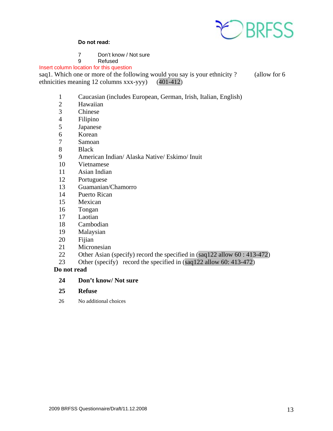

#### **Do not read:**

- 7 Don't know / Not sure<br>9 Refused
- **Refused**

Insert column location for this question

saq1. Which one or more of the following would you say is your ethnicity ? (allow for 6 ethnicities meaning 12 columns xxx-yyy) (401-412)

- 1 Caucasian (includes European, German, Irish, Italian, English)
- 2 Hawaiian<br>3 Chinese
- **Chinese**
- 4 Filipino
- 5 Japanese
- 6 Korean
- 7 Samoan
- 8 Black
- 9 American Indian/ Alaska Native/ Eskimo/ Inuit
- 10 Vietnamese
- 11 Asian Indian
- 12 Portuguese
- 13 Guamanian/Chamorro
- 14 Puerto Rican
- 15 Mexican
- 16 Tongan
- 17 Laotian
- 18 Cambodian
- 19 Malaysian
- 20 Fijian
- 21 Micronesian
- 22 Other Asian (specify) record the specified in (saq122 allow 60 : 413-472)
- 23 Other (specify) record the specified in (saq122 allow 60: 413-472)

 **Do not read** 

- **24 Don't know/ Not sure**
- **25 Refuse**
- 26 No additional choices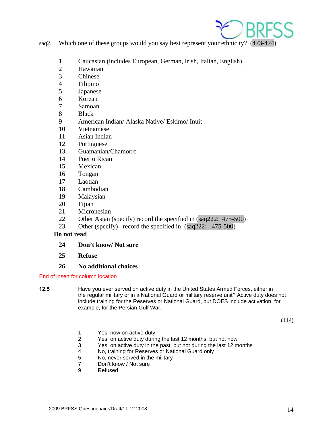

- saq2. Which one of these groups would you say best represent your ethnicity? (473-474)
	- 1 Caucasian (includes European, German, Irish, Italian, English)
	- 2 Hawaiian<br>3 Chinese
	- **Chinese**
	- 4 Filipino
	- 5 Japanese
	- 6 Korean
	- 7 Samoan
	- 8 Black
	- 9 American Indian/ Alaska Native/ Eskimo/ Inuit
	- 10 Vietnamese
	- 11 Asian Indian
	- 12 Portuguese
	- 13 Guamanian/Chamorro
	- 14 Puerto Rican
	- 15 Mexican
	- 16 Tongan
	- 17 Laotian
	- 18 Cambodian
	- 19 Malaysian
	- 20 Fijian
	- 21 Micronesian
	- 22 Other Asian (specify) record the specified in (saq222: 475-500)
	- 23 Other (specify) record the specified in (saq222: 475-500)

#### **Do not read**

#### **24 Don't know/ Not sure**

 **25 Refuse** 

#### **26 No additional choices**

#### End of insert for column location

**12.5** Have you ever served on active duty in the United States Armed Forces, either in the regular military or in a National Guard or military reserve unit? Active duty does not include training for the Reserves or National Guard, but DOES include activation, for example, for the Persian Gulf War.

(114)

- 1 Yes, now on active duty<br>2 Yes, on active duty during
- Yes, on active duty during the last 12 months, but not now
- 3 Yes, on active duty in the past, but not during the last 12 months<br>4 No. training for Reserves or National Guard only
- 4 No, training for Reserves or National Guard only<br>5 No. never served in the military
- No, never served in the military
- 7 Don't know / Not sure<br>9 Refused
- **Refused**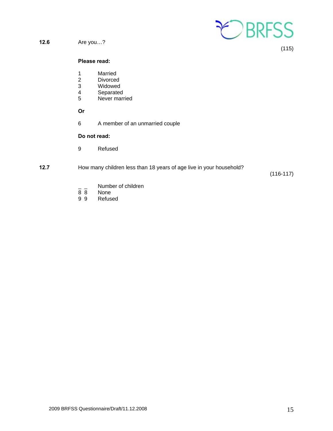

**12.6** Are you…?

(115)

#### **Please read:**

- 
- 1 Married<br>2 Divorced 2 Divorced<br>3 Widowed
- Widowed
- 4 Separated<br>5 Never mari
- Never married

 **Or**

6 A member of an unmarried couple

#### **Do not read:**

- 9 Refused
- **12.7** How many children less than 18 years of age live in your household?

(116-117)

- $\frac{1}{8}$   $\frac{1}{8}$  Number of children
- None
- 9 9 Refused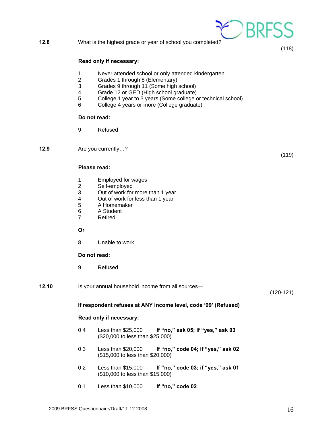#### **12.8** What is the highest grade or year of school you completed?

#### **Read only if necessary:**

- 1 Never attended school or only attended kindergarten
- 2 Grades 1 through 8 (Elementary)
- 3 Grades 9 through 11 (Some high school)
- 4 Grade 12 or GED (High school graduate)<br>5 College 1 year to 3 years (Some college of
- College 1 year to 3 years (Some college or technical school)
- 6 College 4 years or more (College graduate)

#### **Do not read:**

9 Refused

**12.9** Are you currently…?

#### **Please read:**

- 1 Employed for wages<br>2 Self-employed
- 2 Self-employed<br>3 Out of work for
- Out of work for more than 1 year
- 4 Out of work for less than 1 year<br>5 A Homemaker
- 5 A Homemaker
- 6 A Student
- 7 Retired

#### **Or**

8 Unable to work

#### **Do not read:**

- 9 Refused
- **12.10** Is your annual household income from all sources—

(120-121)

#### **If respondent refuses at ANY income level, code '99' (Refused)**

#### **Read only if necessary:**

- 0 4 Less than \$25,000 **If "no," ask 05; if "yes," ask 03** (\$20,000 to less than \$25,000)
- 0 3 Less than \$20,000 **If "no," code 04; if "yes," ask 02** (\$15,000 to less than \$20,000)
- 0 2 Less than \$15,000 **If "no," code 03; if "yes," ask 01** (\$10,000 to less than \$15,000)
- 0 1 Less than \$10,000 **If "no," code 02**



(119)

(118)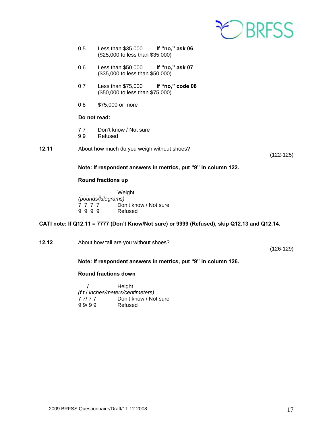

- 0 5 Less than \$35,000 **If "no," ask 06** (\$25,000 to less than \$35,000)
- 0 6 Less than \$50,000 **If "no," ask 07** (\$35,000 to less than \$50,000)
- 0 7 Less than \$75,000 **If "no," code 08** (\$50,000 to less than \$75,000)
- 0 8 \$75,000 or more

#### **Do not read:**

- 77 Don't know / Not sure<br>99 Refused
- **Refused**
- **12.11** About how much do you weigh without shoes?

(122-125)

#### **Note: If respondent answers in metrics, put "9" in column 122.**

#### **Round fractions up**

 **\_ \_ \_ \_** Weight  *(pounds/kilograms)* 7 7 7 7 Don't know / Not sure 9 9 9 9 Refused

#### **CATI note: If Q12.11 = 7777 (Don't Know/Not sure) or 9999 (Refused), skip Q12.13 and Q12.14.**

**12.12** About how tall are you without shoes?

(126-129)

#### **Note: If respondent answers in metrics, put "9" in column 126.**

#### **Round fractions down**

 **\_ \_ / \_ \_** Height *(f t* / *inches/meters/centimeters)* 7 7/ 7 7 Don't know / Not sure<br>9 9/ 9 9 Refused 9 9/ 9 9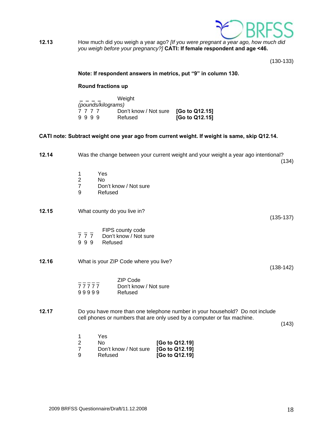

**12.13** How much did you weigh a year ago? *[If you were pregnant a year ago, how much did you weigh before your pregnancy?]* **CATI: If female respondent and age <46.** 

(130-133)

#### **Note: If respondent answers in metrics, put "9" in column 130.**

#### **Round fractions up**

|                    | Weight                               |                |
|--------------------|--------------------------------------|----------------|
| (pounds/kilograms) |                                      |                |
| 7777               | Don't know / Not sure [Go to Q12.15] |                |
| 9999               | Refused                              | [Go to Q12.15] |

#### **CATI note: Subtract weight one year ago from current weight. If weight is same, skip Q12.14.**

| 12.14 | Was the change between your current weight and your weight a year ago intentional?<br>(134)                                                                      |
|-------|------------------------------------------------------------------------------------------------------------------------------------------------------------------|
|       | 1<br>Yes<br>$\mathbf 2$<br><b>No</b><br>$\overline{7}$<br>Don't know / Not sure<br>9<br>Refused                                                                  |
| 12.15 | What county do you live in?<br>$(135-137)$                                                                                                                       |
|       | FIPS county code<br>$\overline{7}$ $\overline{7}$ $\overline{7}$ Don't know / Not sure<br>999<br>Refused                                                         |
| 12.16 | What is your ZIP Code where you live?<br>$(138-142)$                                                                                                             |
|       | <b>ZIP Code</b><br>$77777$<br>Don't know / Not sure<br>99999<br>Refused                                                                                          |
| 12.17 | Do you have more than one telephone number in your household? Do not include<br>cell phones or numbers that are only used by a computer or fax machine.<br>(143) |
|       | Yes<br>1<br>$\overline{2}$<br>[Go to Q12.19]<br>No.<br>$\overline{7}$<br>Don't know / Not sure<br>[Go to Q12.19]<br>9<br>Refused<br>[Go to Q12.19]               |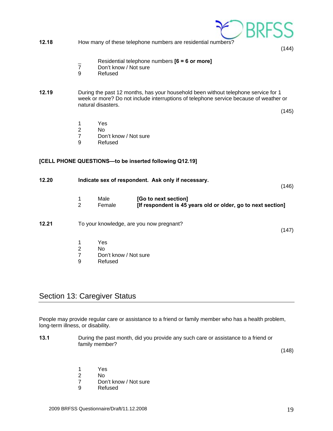

# Section 13: Caregiver Status

People may provide regular care or assistance to a friend or family member who has a health problem, long-term illness, or disability.

| 13.1 | During the past month, did you provide any such care or assistance to a friend or |
|------|-----------------------------------------------------------------------------------|
|      | family member?                                                                    |

(148)

- 1 Yes
- 
- 2 No<br>7 Dor Don't know / Not sure
- 9 Refused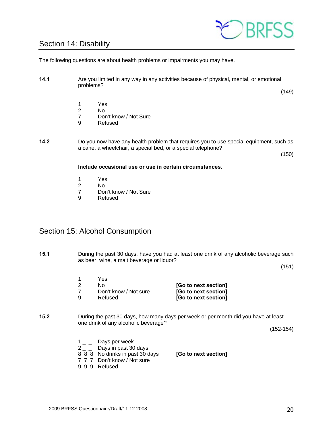# EDBRESS

# Section 14: Disability

The following questions are about health problems or impairments you may have.

**14.1** Are you limited in any way in any activities because of physical, mental, or emotional problems?

(149)

- 1 Yes
- No.
- 7 Don't know / Not Sure<br>9 Refused
- **Refused**
- **14.2** Do you now have any health problem that requires you to use special equipment, such as a cane, a wheelchair, a special bed, or a special telephone?

(150)

#### **Include occasional use or use in certain circumstances.**

- 1 Yes
- 2 No
- 7 Don't know / Not Sure
- 9 Refused

# Section 15: Alcohol Consumption

**15.1** During the past 30 days, have you had at least one drink of any alcoholic beverage such as beer, wine, a malt beverage or liquor?

 $(151)$ 

- 1 Yes 2 No **[Go to next section]** 7 Don't know / Not sure **[Go to next section]** 9 Refused **[Go to next section]**
- **15.2** During the past 30 days, how many days per week or per month did you have at least one drink of any alcoholic beverage?

(152-154)

- $1_{-}$  Days per week
- $2 -$  Days in past 30 days
- 8 8 8 No drinks in past 30 days **[Go to next section]**
- 7 7 7 Don't know / Not sure
- 9 9 9 Refused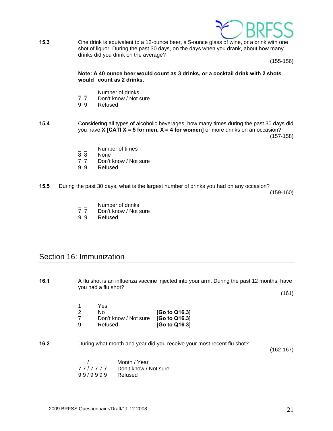

**15.3** One drink is equivalent to a 12-ounce beer, a 5-ounce glass of wine, or a drink with one shot of liquor. During the past 30 days, on the days when you drank, about how many drinks did you drink on the average?

(155-156)

#### **Note: A 40 ounce beer would count as 3 drinks, or a cocktail drink with 2 shots would count as 2 drinks.**

- 
- Number of drinks<br>7 7 Don't know / Not s Don't know / Not sure
- 9 9 Refused
- **15.4** Considering all types of alcoholic beverages, how many times during the past 30 days did you have **X [CATI X = 5 for men, X = 4 for women]** or more drinks on an occasion? (157-158)
	- $\frac{1}{8}$   $\frac{1}{8}$  Number of times
	- None
	- 7 7 Don't know / Not sure<br>9 9 Refused
	- **Refused**
- **15.5** During the past 30 days, what is the largest number of drinks you had on any occasion?

(159-160)

- \_ \_ Number of drinks<br>7 7 Don't know / Not s
- Don't know / Not sure
- 9 9 Refused

## Section 16: Immunization

**16.1** A flu shot is an influenza vaccine injected into your arm. During the past 12 months, have you had a flu shot? (161) 1 Yes 2 No **[Go to Q16.3]**  7 Don't know / Not sure **[Go to Q16.3]**  9 Refused **[Go to Q16.3] 16.2** During what month and year did you receive your most recent flu shot? (162-167)  $\frac{1}{2}$  /  $\frac{1}{2}$  Month / Year 7 7 / 7 7 7 7 Don't know / Not sure 9 9 / 9 9 9 9 Refused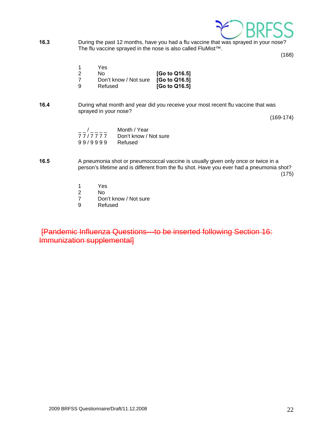

**16.3** During the past 12 months, have you had a flu vaccine that was sprayed in your nose? The flu vaccine sprayed in the nose is also called FluMist™.

(168)

- 1 Yes
- 2 No **[Go to Q16.5]**  Don't know / Not sure 9 Refused **[Go to Q16.5]**
- **16.4** During what month and year did you receive your most recent flu vaccine that was sprayed in your nose?

(169-174)

|         | Month / Year          |
|---------|-----------------------|
| 77/7777 | Don't know / Not sure |
| 99/9999 | Refused               |

- **16.5** A pneumonia shot or pneumococcal vaccine is usually given only once or twice in a person's lifetime and is different from the flu shot. Have you ever had a pneumonia shot?  $(175)$ 
	- 1 Yes<br>2 No
	- No.
	- 7 Don't know / Not sure<br>9 Refused
	- **Refused**

[Pandemic Influenza Questions---to be inserted following Section 16: Immunization supplemental]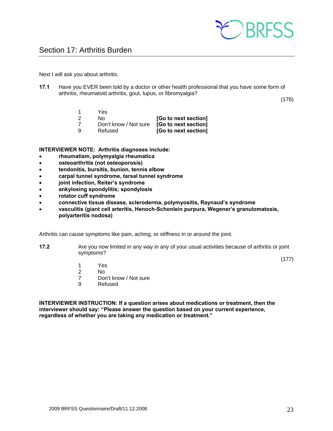

Next I will ask you about arthritis.

**17.1** Have you EVER been told by a doctor or other health professional that you have some form of arthritis, rheumatoid arthritis, gout, lupus, or fibromyalgia?

(176)

- 1 Yes
- 2 No **[Go to next section]**
- 7 Don't know / Not sure **[Go to next section]**
- 9 Refused **[Go to next section]**

**INTERVIEWER NOTE: Arthritis diagnoses include:** 

- **rheumatism, polymyalgia rheumatica**
- **osteoarthritis (not osteoporosis)**
- **tendonitis, bursitis, bunion, tennis elbow**
- **carpal tunnel syndrome, tarsal tunnel syndrome**
- **joint infection, Reiter's syndrome**
- **ankylosing spondylitis; spondylosis**
- **rotator cuff syndrome**
- **connective tissue disease, scleroderma, polymyositis, Raynaud's syndrome**
- **vasculitis (giant cell arteritis, Henoch-Schonlein purpura, Wegener's granulomatosis, polyarteritis nodosa)**

Arthritis can cause symptoms like pain, aching, or stiffness in or around the joint.

**17.2** Are you now limited in any way in any of your usual activities because of arthritis or joint symptoms?

(177)

- 1 Yes
- 2 No
	- 7 Don't know / Not sure
	- 9 Refused

**INTERVIEWER INSTRUCTION: If a question arises about medications or treatment, then the interviewer should say: "Please answer the question based on your current experience, regardless of whether you are taking any medication or treatment."**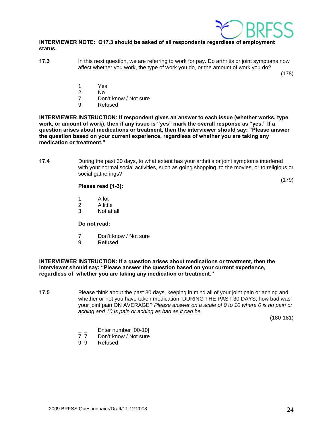

#### **INTERVIEWER NOTE: Q17.3 should be asked of all respondents regardless of employment status.**

**17.3** In this next question, we are referring to work for pay. Do arthritis or joint symptoms now affect whether you work, the type of work you do, or the amount of work you do?

(178)

- 1 Yes
- 2 No
	- 7 Don't know / Not sure
	- 9 Refused

**INTERVIEWER INSTRUCTION: If respondent gives an answer to each issue (whether works, type work, or amount of work), then if any issue is "yes" mark the overall response as "yes." If a question arises about medications or treatment, then the interviewer should say: "Please answer the question based on your current experience, regardless of whether you are taking any medication or treatment."** 

**17.4** During the past 30 days, to what extent has your arthritis or joint symptoms interfered with your normal social activities, such as going shopping, to the movies, or to religious or social gatherings?

#### **Please read [1-3]:**

(179)

- 1 A lot
- 2 A little
- 3 Not at all

#### **Do not read:**

- 7 Don't know / Not sure
- 9 Refused

#### **INTERVIEWER INSTRUCTION: If a question arises about medications or treatment, then the interviewer should say: "Please answer the question based on your current experience, regardless of whether you are taking any medication or treatment."**

**17.5** Please think about the past 30 days, keeping in mind all of your joint pain or aching and whether or not you have taken medication. DURING THE PAST 30 DAYS, how bad was your joint pain ON AVERAGE? *Please answer on a scale of 0 to 10 where 0 is no pain or aching and 10 is pain or aching as bad as it can be*.

(180-181)

- $\frac{1}{7}$  Enter number  $[00-10]$ <br>  $\frac{1}{7}$  Don't know / Not sure
- Don't know / Not sure
- 9 9 Refused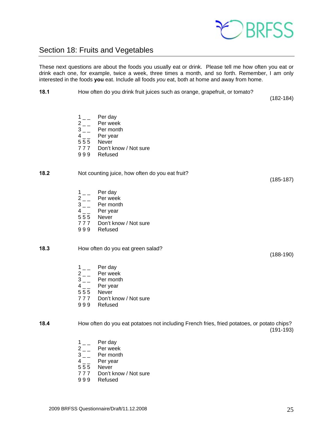

# Section 18: Fruits and Vegetables

These next questions are about the foods you usually eat or drink. Please tell me how often you eat or drink each one, for example, twice a week, three times a month, and so forth. Remember, I am only interested in the foods **you** eat. Include all foods *you* eat, both at home and away from home.

**18.1** How often do you drink fruit juices such as orange, grapefruit, or tomato?

(182-184)

- $1_{--}$  Per day
- 
- $2 \quad \quad$  Per week<br> $3 \quad \quad$  Per month  $3_{--}$  Per month<br>4 Per year
- Per year
- 5 5 5 Never
- 7 7 7 Don't know / Not sure
- 9 9 9 Refused

#### **18.2** Not counting juice, how often do you eat fruit?

- $1_{--}$  Per day
- $2 \quad \quad$  Per week<br> $3 \quad \quad$  Per month
- $3_{--}$  Per month<br>4 Per year
- Per year
- 5 5 5 Never
- 7 7 7 Don't know / Not sure
- 9 9 9 Refused

#### **18.3** How often do you eat green salad?

- $1_{--}$  Per day
- $2 \quad \quad$  Per week<br> $3 \quad \quad$  Per month
- Per month
- $4 \quad \quad$  Per year
- 5 5 5 Never
- 7 7 7 Don't know / Not sure
- 9 9 9 Refused

#### **18.4** How often do you eat potatoes not including French fries, fried potatoes, or potato chips? (191-193)

- $1_{--}$  Per day
- $2 \quad \quad$  Per week<br> $3 \quad \quad$  Per month
- $3 -$  Per month<br>4 Per year
- Per year
- 5 5 5 Never
- 7 7 7 Don't know / Not sure
- 9 9 9 Refused

(188-190)

(185-187)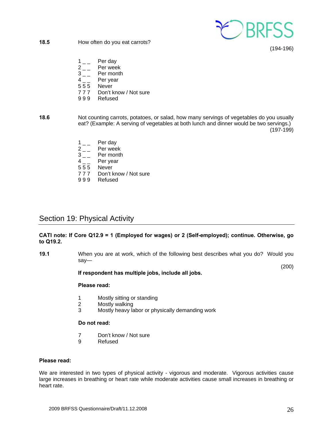

**18.5** How often do you eat carrots?

(194-196)

- $1_{-}$  Per day
- $\begin{array}{cc} 2 & \\ 3 & \end{array}$  Per week
- Per month
- $4 \quad \quad$  Per year
- 5 5 5 Never
- 777 Don't know / Not sure<br>999 Refused
- **Refused**
- **18.6** Not counting carrots, potatoes, or salad, how many servings of vegetables do you usually eat? (Example: A serving of vegetables at both lunch and dinner would be two servings.) (197-199)
	- $1\qquad$  Per day  $2 \nightharpoonup$  Per week<br>3 Per month Per month 4<sub>\_\_</sub> Per year 5 5 5 Never 7 7 7 Don't know / Not sure
	- 9 9 9 Refused

# Section 19: Physical Activity

#### **CATI note: If Core Q12.9 = 1 (Employed for wages) or 2 (Self-employed); continue. Otherwise, go to Q19.2.**

**19.1** When you are at work, which of the following best describes what you do? Would you say—

(200)

#### **If respondent has multiple jobs, include all jobs.**

#### **Please read:**

- 1 Mostly sitting or standing<br>2 Mostly walking
- Mostly walking
- 3 Mostly heavy labor or physically demanding work

#### **Do not read:**

- 7 Don't know / Not sure
- 9 Refused

#### **Please read:**

We are interested in two types of physical activity - vigorous and moderate. Vigorous activities cause large increases in breathing or heart rate while moderate activities cause small increases in breathing or heart rate.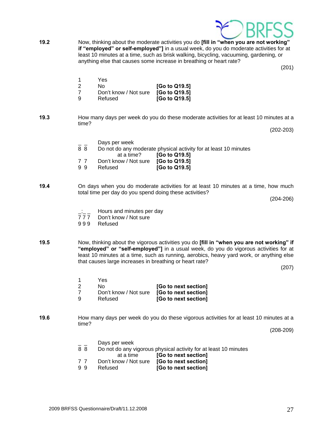

9 9 Refused **[Go to next section]**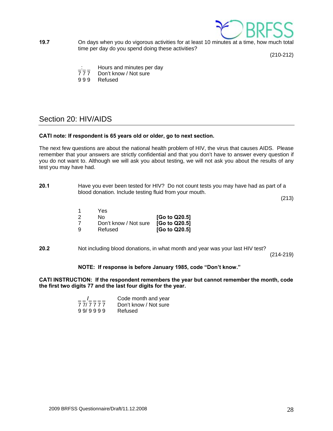

**19.7** On days when you do vigorous activities for at least 10 minutes at a time, how much total time per day do you spend doing these activities?

(210-212)

- $\frac{1}{2}$   $\frac{1}{2}$  Hours and minutes per day<br>777 Don't know / Not sure
- Don't know / Not sure
- 9 9 9 Refused

# Section 20: HIV/AIDS

#### **CATI note: If respondent is 65 years old or older, go to next section.**

The next few questions are about the national health problem of HIV, the virus that causes AIDS. Please remember that your answers are strictly confidential and that you don't have to answer every question if you do not want to. Although we will ask you about testing, we will not ask you about the results of any test you may have had.

| 20.1 | Have you ever been tested for HIV? Do not count tests you may have had as part of a |
|------|-------------------------------------------------------------------------------------|
|      | blood donation. Include testing fluid from your mouth.                              |

(213)

- 1 Yes 2 No **[Go to Q20.5]** 7 Don't know / Not sure **[Go to Q20.5]** 9 Refused **[Go to Q20.5]**
- **20.2** Not including blood donations, in what month and year was your last HIV test?

(214-219)

#### **NOTE: If response is before January 1985, code "Don't know."**

**CATI INSTRUCTION: If the respondent remembers the year but cannot remember the month, code the first two digits 77 and the last four digits for the year.** 

|         | Code month and year   |
|---------|-----------------------|
| 777777  | Don't know / Not sure |
| 99/9999 | Refused               |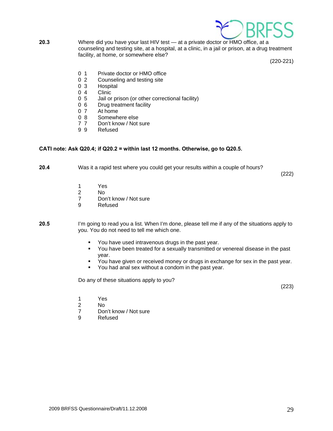

**20.3** Where did you have your last HIV test — at a private doctor or HMO office, at a counseling and testing site, at a hospital, at a clinic, in a jail or prison, at a drug treatment facility, at home, or somewhere else?

(220-221)

- 0 1 Private doctor or HMO office
- 0 2 Counseling and testing site
- 0 3 Hospital
- 0 4 Clinic<br>0 5 Jail or
- Jail or prison (or other correctional facility)
- 0 6 Drug treatment facility<br>0 7 At home
- 0 7 At home<br>0 8 Somewh
- Somewhere else
- 7 7 Don't know / Not sure
- 9 9 Refused

#### **CATI note: Ask Q20.4; if Q20.2 = within last 12 months. Otherwise, go to Q20.5.**

**20.4** Was it a rapid test where you could get your results within a couple of hours?

(222)

- 1 Yes<br>2 No
- No.
- 7 Don't know / Not sure
- 9 Refused
- **20.5** I'm going to read you a list. When I'm done, please tell me if any of the situations apply to you. You do not need to tell me which one.
	- **You have used intravenous drugs in the past year.**
	- You have been treated for a sexually transmitted or venereal disease in the past year.
	- You have given or received money or drugs in exchange for sex in the past year.
	- You had anal sex without a condom in the past year.

Do any of these situations apply to you?

(223)

- 1 Yes
- 2 No
	- 7 Don't know / Not sure
	- 9 Refused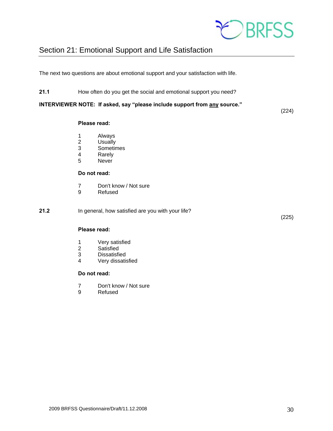

# Section 21: Emotional Support and Life Satisfaction

The next two questions are about emotional support and your satisfaction with life.

**21.1** How often do you get the social and emotional support you need?

**INTERVIEWER NOTE: If asked, say "please include support from any source."**

#### **Please read:**

- 1 Always
- 2 Usually
- 3 Sometimes<br>4 Rarely
- **Rarely**
- 5 Never

#### **Do not read:**

- 7 Don't know / Not sure<br>9 Refused
- **Refused**

**21.2** In general, how satisfied are you with your life?

(225)

(224)

#### **Please read:**

- 1 Very satisfied<br>2 Satisfied
- **Satisfied**
- 3 Dissatisfied<br>4 Verv dissatis
- Very dissatisfied

#### **Do not read:**

- 7 Don't know / Not sure
- 9 Refused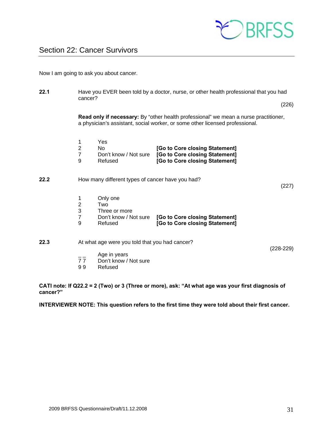

Now I am going to ask you about cancer.

**22.1** Have you EVER been told by a doctor, nurse, or other health professional that you had cancer? (226) **Read only if necessary:** By "other health professional" we mean a nurse practitioner, a physician's assistant, social worker, or some other licensed professional. 1 Yes 2 No **[Go to Core closing Statement]** 7 Don't know / Not sure **[Go to Core closing Statement]** 9 Refused **[Go to Core closing Statement] 22.2** How many different types of cancer have you had? (227) 1 Only one 2 Two 3 Three or more 7 Don't know / Not sure **[Go to Core closing Statement]** 9 Refused **[Go to Core closing Statement] 22.3** At what age were you told that you had cancer? (228-229)  $\frac{1}{7}$  Age in years<br>77 Don't know / Don't know / Not sure 9 9 Refused

**CATI note: If Q22.2 = 2 (Two) or 3 (Three or more), ask: "At what age was your first diagnosis of cancer?"** 

**INTERVIEWER NOTE: This question refers to the first time they were told about their first cancer.**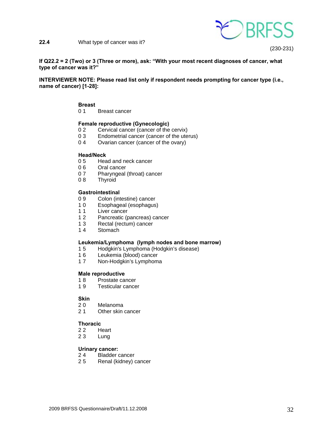



(230-231)

**If Q22.2 = 2 (Two) or 3 (Three or more), ask: "With your most recent diagnoses of cancer, what type of cancer was it?"** 

**INTERVIEWER NOTE: Please read list only if respondent needs prompting for cancer type (i.e., name of cancer) [1-28]:** 

- **Breast**
- 0 1 Breast cancer

#### **Female reproductive (Gynecologic)**

- 0 2 Cervical cancer (cancer of the cervix)
- 0 3 Endometrial cancer (cancer of the uterus)
- 0 4 Ovarian cancer (cancer of the ovary)

#### **Head/Neck**

- 0 5 Head and neck cancer<br>0 6 Oral cancer
- Oral cancer
- 07 Pharyngeal (throat) cancer
- 08 Thyroid

#### **Gastrointestinal**

- 0 9 Colon (intestine) cancer
- 1 0 Esophageal (esophagus)
- 11 Liver cancer
- 1 2 Pancreatic (pancreas) cancer
- 1 3 Rectal (rectum) cancer
- 1 4 Stomach

#### **Leukemia/Lymphoma (lymph nodes and bone marrow)**

- 1 5 Hodgkin's Lymphoma (Hodgkin's disease)
- 1 6 Leukemia (blood) cancer
- 1 7 Non-Hodgkin's Lymphoma

#### **Male reproductive**

- 1 8 Prostate cancer
- 1 9 Testicular cancer

# **Skin**<br>20

- **Melanoma**
- 2 1 Other skin cancer

#### **Thoracic**

- 22 Heart
- 23 Lung

#### **Urinary cancer:**

- 2 4 Bladder cancer
- 2 5 Renal (kidney) cancer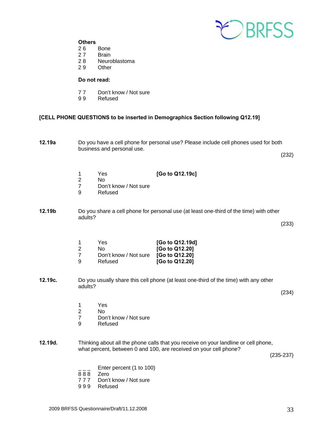

#### **Others**

- 26 Bone
- 27 Brain
- 2 8 Neuroblastoma
- 2 9 Other

#### **Do not read:**

- 77 Don't know / Not sure<br>99 Refused
- **Refused**

#### **[CELL PHONE QUESTIONS to be inserted in Demographics Section following Q12.19]**

**12.19a** Do you have a cell phone for personal use? Please include cell phones used for both business and personal use.

(232)

- 1 Yes **[Go to Q12.19c]**
- 2 No<br>7 Dor
- Don't know / Not sure
- 9 Refused

**12.19b** Do you share a cell phone for personal use (at least one-third of the time) with other adults?

|   | Yes                                         | [Go to Q12.19d] |
|---|---------------------------------------------|-----------------|
|   | N٥                                          | [Go to Q12.20]  |
|   | Don't know / Not sure <b>[Go to Q12.20]</b> |                 |
| a | Refused                                     | [Go to Q12.20]  |

**12.19c.** Do you usually share this cell phone (at least one-third of the time) with any other adults?

(234)

(233)

- 1 Yes
- 2 No
- 7 Don't know / Not sure<br>9 Refused
- **Refused**
- **12.19d.** Thinking about all the phone calls that you receive on your landline or cell phone, what percent, between 0 and 100, are received on your cell phone?

(235-237)

- Enter percent (1 to 100)
- 8 8 8 Zero<br>7 7 7 Don't
- Don't know / Not sure
- 9 9 9 Refused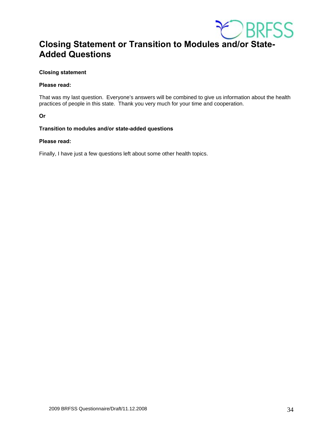

# **Closing Statement or Transition to Modules and/or State-Added Questions**

#### **Closing statement**

#### **Please read:**

That was my last question. Everyone's answers will be combined to give us information about the health practices of people in this state. Thank you very much for your time and cooperation.

**Or** 

#### **Transition to modules and/or state-added questions**

#### **Please read:**

Finally, I have just a few questions left about some other health topics.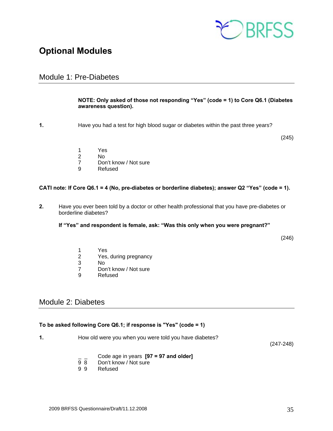

# **Optional Modules**

## Module 1: Pre-Diabetes

#### **NOTE: Only asked of those not responding "Yes" (code = 1) to Core Q6.1 (Diabetes awareness question).**

**1.** Have you had a test for high blood sugar or diabetes within the past three years?

(245)

- 1 Yes<br>2 No
- 2 No
- 7 Don't know / Not sure
- 9 Refused

#### **CATI note: If Core Q6.1 = 4 (No, pre-diabetes or borderline diabetes); answer Q2 "Yes" (code = 1).**

**2.** Have you ever been told by a doctor or other health professional that you have pre-diabetes or borderline diabetes?

 **If "Yes" and respondent is female, ask: "Was this only when you were pregnant?"** 

(246)

- 1 Yes
- 2 Yes, during pregnancy
- 3 No
- 7 Don't know / Not sure<br>9 Refused
- **Refused**

## Module 2: Diabetes

#### **To be asked following Core Q6.1; if response is "Yes" (code = 1)**

**1.** How old were you when you were told you have diabetes?

(247-248)

- \_ \_ Code age in years **[97 = 97 and older]**
- 9 8 Don't know / Not sure<br>9 9 Refused
- **Refused**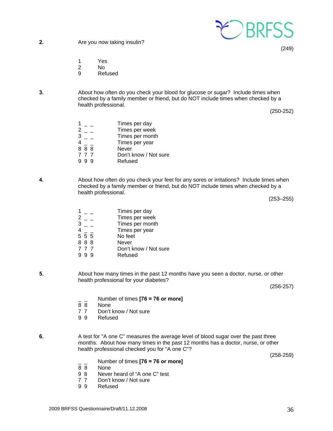

**2.** Are you now taking insulin?

(249)

- 1 Yes
- 2 No
- 9 Refused
- **3.** About how often do you check your blood for glucose or sugar? Include times when checked by a family member or friend, but do NOT include times when checked by a health professional.

(250-252)

|     | Times per day         |
|-----|-----------------------|
|     | Times per week        |
|     | Times per month       |
|     | Times per year        |
| 888 | <b>Never</b>          |
| 777 | Don't know / Not sure |
|     | Refused               |

**4.** About how often do you check your feet for any sores or irritations? Include times when checked by a family member or friend, but do NOT include times when checked by a health professional.

(253–255)

- $1 -$  Times per day 2 \_ \_ Times per week<br>3 Times per mont  $\overline{a}$   $\overline{b}$   $\overline{c}$   $\overline{d}$   $\overline{d}$   $\overline{d}$   $\overline{d}$   $\overline{d}$   $\overline{d}$   $\overline{d}$   $\overline{d}$   $\overline{d}$   $\overline{d}$   $\overline{d}$   $\overline{d}$   $\overline{d}$   $\overline{d}$   $\overline{d}$   $\overline{d}$   $\overline{d}$   $\overline{d}$   $\overline{d}$   $\overline{d}$   $\overline{d}$   $\overline{$ 4 \_ \_ Times per year  $\frac{4}{5}$   $\frac{1}{5}$   $\frac{1}{5}$   $\frac{1}{5}$   $\frac{1}{5}$  No feet 8 8 8 Never 7 7 7 Don't know / Not sure 9 9 9 Refused
- **5.** About how many times in the past 12 months have you seen a doctor, nurse, or other health professional for your diabetes?

(256-257)

- \_ \_ Number of times **[76 = 76 or more]**
- **None**
- 7 7 Don't know / Not sure
- 9 9 Refused
- **6.** A test for "A one C" measures the average level of blood sugar over the past three months. About how many times in the past 12 months has a doctor, nurse, or other health professional checked you for "A one C"?

(258-259)

- \_ \_ Number of times **[76 = 76 or more]**
- 8 8 None<br>9 8 Never
- Never heard of "A one C" test
- 7 7 Don't know / Not sure
- 9 9 Refused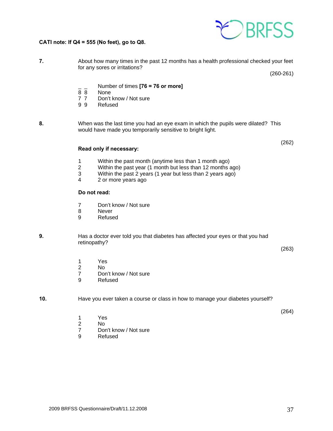

#### **CATI note: If Q4 = 555 (No feet), go to Q8.**

| About how many times in the past 12 months has a health professional checked your feet |  |
|----------------------------------------------------------------------------------------|--|
| for any sores or irritations?                                                          |  |
| $(260-261)$                                                                            |  |

- \_ \_ Number of times **[76 = 76 or more]**
- 8 8 None<br>7 7 Don't
- Don't know / Not sure
- 9 9 Refused
- **8.** When was the last time you had an eye exam in which the pupils were dilated? This would have made you temporarily sensitive to bright light.

#### **Read only if necessary:**

- 1 Within the past month (anytime less than 1 month ago)<br>2 Within the past year (1 month but less than 12 months a
- 2 Within the past year (1 month but less than 12 months ago)<br>3 Within the past 2 years (1 year but less than 2 years ago)
- Within the past 2 years (1 year but less than 2 years ago)
- 4 2 or more years ago

#### **Do not read:**

- 7 Don't know / Not sure
- 8 Never
- 9 Refused

#### **9.** Has a doctor ever told you that diabetes has affected your eyes or that you had retinopathy?

(263)

(264)

(262)

- 1 Yes
- 2 No
- 7 Don't know / Not sure
- 9 Refused

#### **10.** Have you ever taken a course or class in how to manage your diabetes yourself?

- 1 Yes
- 2 No
	- 7 Don't know / Not sure
	- 9 Refused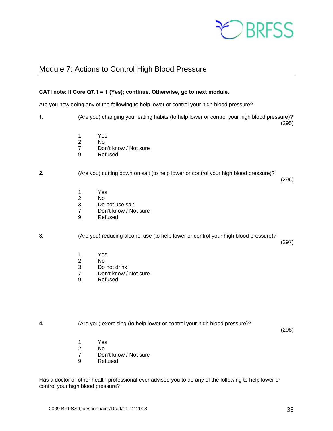

## Module 7: Actions to Control High Blood Pressure

#### **CATI note: If Core Q7.1 = 1 (Yes); continue. Otherwise, go to next module.**

Are you now doing any of the following to help lower or control your high blood pressure?

**1.** (Are you) changing your eating habits (to help lower or control your high blood pressure)? (295)

- 1 Yes
- 2 No
- 7 Don't know / Not sure
- 9 Refused

#### **2.** (Are you) cutting down on salt (to help lower or control your high blood pressure)?

(296)

- 1 Yes
- 2 No
- Do not use salt
- 7 Don't know / Not sure
- 9 Refused

**3.** (Are you) reducing alcohol use (to help lower or control your high blood pressure)?

(297)

- 1 Yes
- 2 No
- Do not drink
- 7 Don't know / Not sure<br>9 Refused
- **Refused**

**4.** (Are you) exercising (to help lower or control your high blood pressure)?

(298)

- 1 Yes
- 2 No
- 7 Don't know / Not sure
- 9 Refused

Has a doctor or other health professional ever advised you to do any of the following to help lower or control your high blood pressure?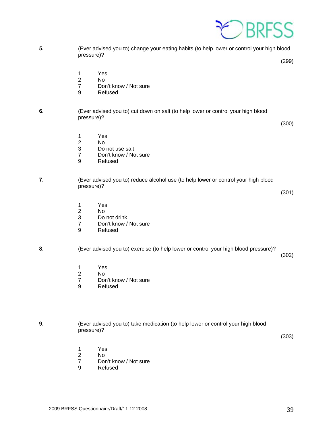

**5.** (Ever advised you to) change your eating habits (to help lower or control your high blood pressure)?

(299)

- 1 Yes
- 2 No
	- 7 Don't know / Not sure
	- 9 Refused

#### **6.** (Ever advised you to) cut down on salt (to help lower or control your high blood pressure)?

(300)

- 1 Yes
- 2 No
	- 3 Do not use salt<br>7 Don't know / No
	- Don't know / Not sure
	- 9 Refused
- **7.** (Ever advised you to) reduce alcohol use (to help lower or control your high blood pressure)?

(301)

- 1 Yes<br>2 No
- N<sub>o</sub>
- 3 Do not drink<br>7 Don't know /
- Don't know / Not sure
- 9 Refused

#### **8.** (Ever advised you to) exercise (to help lower or control your high blood pressure)?

(302)

- 1 Yes
- 2 No<br>7 Dor
- Don't know / Not sure
- 9 Refused

**9.** (Ever advised you to) take medication (to help lower or control your high blood pressure)?

(303)

- 1 Yes
- 2 No
	- 7 Don't know / Not sure
	- 9 Refused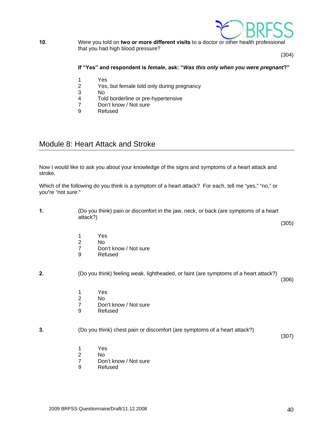

#### **10.** Were you told on **two or more different visits** to a doctor or other health professional that you had high blood pressure?

(304)

#### **If "Yes" and respondent is** *female***, ask: "***Was this only when you were pregnant***?"**

- 1 Yes
- 2 Yes, but female told only during pregnancy
- 3 No
- Told borderline or pre-hypertensive
- 7 Don't know / Not sure
- 9 Refused

## Module 8: Heart Attack and Stroke

Now I would like to ask you about your knowledge of the signs and symptoms of a heart attack and stroke.

Which of the following do you think is a symptom of a heart attack? For each, tell me "yes," "no," or you**'**re "not sure."

**1.** (Do you think) pain or discomfort in the jaw, neck, or back (are symptoms of a heart attack?)

- 1 Yes
- 2 No<br>7 Dor Don't know / Not sure
- 9 Refused

**2.** (Do you think) feeling weak, lightheaded, or faint (are symptoms of a heart attack?)

(306)

(305)

- 1 Yes
- 2 No<br>7 Dor
- Don't know / Not sure
- 9 Refused

#### **3.** (Do you think) chest pain or discomfort (are symptoms of a heart attack?)

(307)

- 1 Yes
- 2 No
	- 7 Don't know / Not sure
	- 9 Refused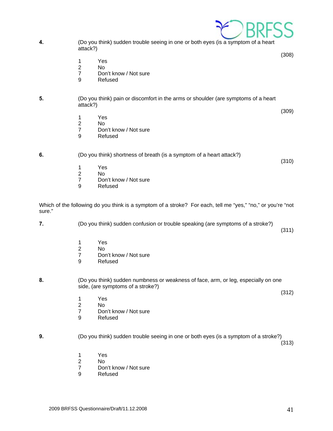

- 1 Yes
- 2 No
	- 7 Don't know / Not sure<br>9 Refused
	- **Refused**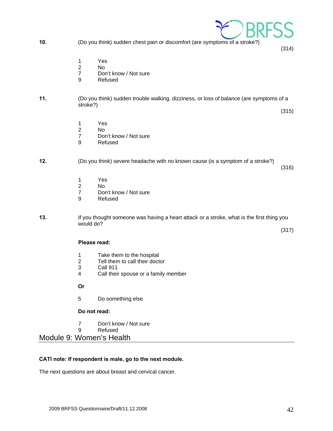2009 BRFSS Questionnaire/Draft/11.12.2008 42

- - 1 Yes
	- 2 No
	- 7 Don't know / Not sure
	- 9 Refused

#### **11.** (Do you think) sudden trouble walking, dizziness, or loss of balance (are symptoms of a stroke?) (315)

- 1 Yes<br>2 No
- 2 No
	- 7 Don't know / Not sure
	- 9 Refused

#### **12.** (Do you think) severe headache with no known cause (is a symptom of a stroke?)

- 1 Yes<br>2 No
- 2 No<br>7 Dor
- Don't know / Not sure
- 9 Refused
- **13.** If you thought someone was having a heart attack or a stroke, what is the first thing you would do?

(317)

(316)

#### **Please read:**

- 1 Take them to the hospital<br>2 Tell them to call their docter
- Tell them to call their doctor
- 3 Call 911
- 4 Call their spouse or a family member

 **Or**

5 Do something else

#### **Do not read:**

- 7 Don't know / Not sure
- 9 Refused

Module 9: Women's Health

#### **CATI note: If respondent is male, go to the next module.**

The next questions are about breast and cervical cancer.



**10.** (Do you think) sudden chest pain or discomfort (are symptoms of a stroke?)

(314)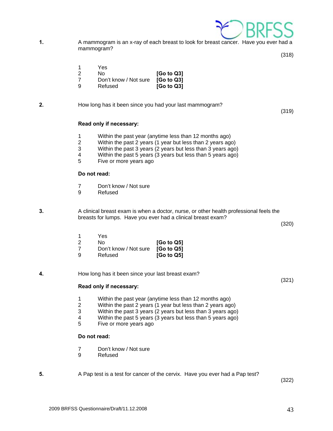

**1.** A mammogram is an x-ray of each breast to look for breast cancer. Have you ever had a mammogram?

(318)

- 1 Yes
- 2 No **[Go to Q3]** 7 Don't know / Not sure **[Go to Q3]**
- 9 Refused **[Go to Q3]**
- **2.** How long has it been since you had your last mammogram?

(319)

#### **Read only if necessary:**

- 1 Within the past year (anytime less than 12 months ago)
- 2 Within the past 2 years (1 year but less than 2 years ago)
- 3 Within the past 3 years (2 years but less than 3 years ago)
- 4 Within the past 5 years (3 years but less than 5 years ago)
- 5 Five or more years ago

#### **Do not read:**

- 7 Don't know / Not sure
- 9 Refused
- 

**3.** A clinical breast exam is when a doctor, nurse, or other health professional feels the breasts for lumps. Have you ever had a clinical breast exam?

(320)

(321)

|   | Yes                              |                                     |
|---|----------------------------------|-------------------------------------|
|   | No.                              | [G <sub>o</sub> to Q <sub>5</sub> ] |
|   | Don't know / Not sure [Go to Q5] |                                     |
| a | Refused                          | [G <sub>o</sub> to Q <sub>5</sub> ] |

**4.** How long has it been since your last breast exam?

#### **Read only if necessary:**

- 1 Within the past year (anytime less than 12 months ago)
- 2 Within the past 2 years (1 year but less than 2 years ago)
- 3 Within the past 3 years (2 years but less than 3 years ago)
- 4 Within the past 5 years (3 years but less than 5 years ago)<br>5 Five or more years ago
- Five or more years ago

#### **Do not read:**

- 7 Don't know / Not sure
- 9 Refused
- **5.** A Pap test is a test for cancer of the cervix. Have you ever had a Pap test?

(322)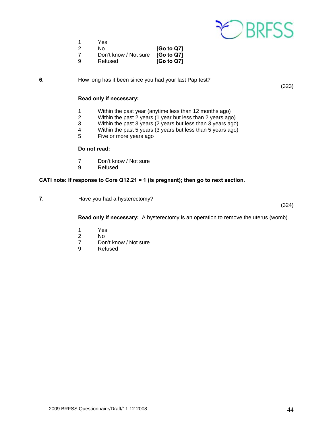

- 
- 1 Yes<br>2 No No **[Go to Q7]**
- 7 Don't know / Not sure **[Go to Q7]**
- $\overline{[Go \text{ to } Q7]}$

**6.** How long has it been since you had your last Pap test?

#### **Read only if necessary:**

- 1 Within the past year (anytime less than 12 months ago)<br>2 Within the past 2 years (1 year but less than 2 years ago
- 2 Within the past 2 years (1 year but less than 2 years ago)
- 3 Within the past 3 years (2 years but less than 3 years ago)
- 4 Within the past 5 years (3 years but less than 5 years ago)<br>5 Five or more years ago
- Five or more years ago

#### **Do not read:**

- 7 Don't know / Not sure<br>9 Refused
- **Refused**

#### **CATI note: If response to Core Q12.21 = 1 (is pregnant); then go to next section.**

**7.** Have you had a hysterectomy?

(324)

 **Read only if necessary:** A hysterectomy is an operation to remove the uterus (womb).

- 1 Yes
- 2 No<br>7 Dor
- 7 Don't know / Not sure<br>9 Refused
- **Refused**

(323)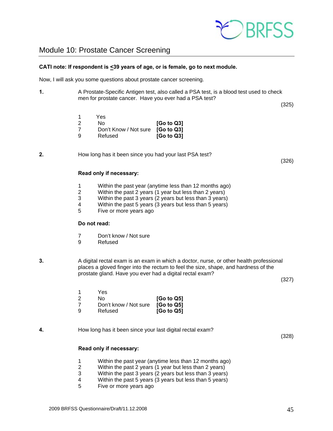

# Module 10: Prostate Cancer Screening

#### **CATI note: If respondent is <39 years of age, or is female, go to next module.**

Now, I will ask you some questions about prostate cancer screening.

**1.** A Prostate-Specific Antigen test, also called a PSA test, is a blood test used to check men for prostate cancer. Have you ever had a PSA test?

(325)

 1 Yes 2 No **[Go to Q3]** 7 Don't Know / Not sure **[Go to Q3]** 9 Refused **[Go to Q3]**

**2.** How long has it been since you had your last PSA test?

(326)

#### **Read only if necessary:**

- 1 Within the past year (anytime less than 12 months ago)<br>2 Within the past 2 years (1 year but less than 2 years)
- Within the past 2 years (1 year but less than 2 years)
- 3 Within the past 3 years (2 years but less than 3 years)
- 4 Within the past 5 years (3 years but less than 5 years)<br>5 Five or more years ago
- Five or more years ago

#### **Do not read:**

- 7 Don't know / Not sure<br>9 Refused
- **Refused**
- **3.** A digital rectal exam is an exam in which a doctor, nurse, or other health professional places a gloved finger into the rectum to feel the size, shape, and hardness of the prostate gland. Have you ever had a digital rectal exam?

(327)

|   | Yes                              |                                     |
|---|----------------------------------|-------------------------------------|
|   | No.                              | [G <sub>o</sub> to Q5]              |
|   | Don't know / Not sure [Go to Q5] |                                     |
| a | Refused                          | [G <sub>o</sub> to Q <sub>5</sub> ] |

**4.** How long has it been since your last digital rectal exam?

(328)

#### **Read only if necessary:**

- 1 Within the past year (anytime less than 12 months ago)
- 2 Within the past 2 years (1 year but less than 2 years)
- 3 Within the past 3 years (2 years but less than 3 years)
- 4 Within the past 5 years (3 years but less than 5 years)
- 5 Five or more years ago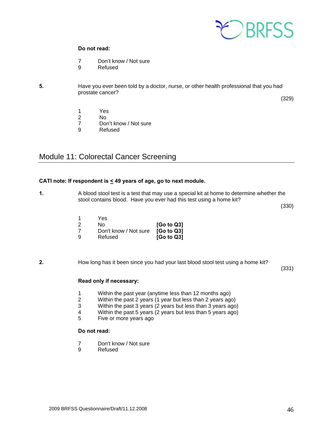

#### **Do not read:**

- 7 Don't know / Not sure
- 9 Refused
- 

**5.** Have you ever been told by a doctor, nurse, or other health professional that you had prostate cancer?

(329)

- 1 Yes<br>2 No
- No.
- 7 Don't know / Not sure
- 9 Refused

# Module 11: Colorectal Cancer Screening

#### **CATI note: If respondent is < 49 years of age, go to next module.**

**1.** A blood stool test is a test that may use a special kit at home to determine whether the stool contains blood. Have you ever had this test using a home kit?

(330)

|   | Yes                              |                                     |
|---|----------------------------------|-------------------------------------|
|   | N٥                               | [Go to Q3]                          |
|   | Don't know / Not sure [Go to Q3] |                                     |
| a | Refused                          | [G <sub>o</sub> to Q <sub>3</sub> ] |

#### **2.** How long has it been since you had your last blood stool test using a home kit?

(331)

#### **Read only if necessary:**

- 1 Within the past year (anytime less than 12 months ago)<br>2 Within the past 2 years (1 year but less than 2 years ago
- 2 Within the past 2 years (1 year but less than 2 years ago)<br>3 Within the past 3 years (2 years but less than 3 years ago
- 3 Within the past 3 years (2 years but less than 3 years ago)
- 4 Within the past 5 years (2 years but less than 5 years ago)<br>5 Five or more years ago
- Five or more years ago

#### **Do not read:**

- 7 Don't know / Not sure
- 9 Refused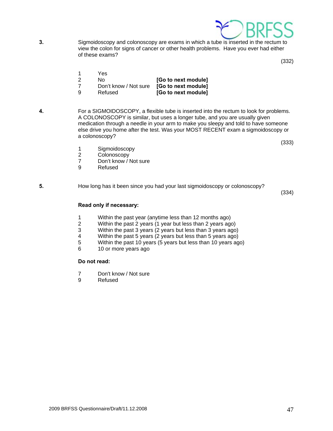

**3.** Sigmoidoscopy and colonoscopy are exams in which a tube is inserted in the rectum to view the colon for signs of cancer or other health problems. Have you ever had either of these exams?

(332)

- 1 Yes
- 2 No **[Go to next module]**
- 7 Don't know / Not sure **[Go to next module]**
- 9 Refused **[Go to next module]**
- **4.** For a SIGMOIDOSCOPY, a flexible tube is inserted into the rectum to look for problems. A COLONOSCOPY is similar, but uses a longer tube, and you are usually given medication through a needle in your arm to make you sleepy and told to have someone else drive you home after the test. Was your MOST RECENT exam a sigmoidoscopy or a colonoscopy?

(333)

- 1 Sigmoidoscopy<br>2 Colonoscopy
- **Colonoscopy**
- 7 Don't know / Not sure<br>9 Refused
- **Refused**

**5.** How long has it been since you had your last sigmoidoscopy or colonoscopy?

(334)

#### **Read only if necessary:**

- 1 Within the past year (anytime less than 12 months ago)
- 2 Within the past 2 years (1 year but less than 2 years ago)
- 3 Within the past 3 years (2 years but less than 3 years ago)
- 4 Within the past 5 years (2 years but less than 5 years ago)<br>5 Within the past 10 years (5 years but less than 10 years ago)
- 5 Within the past 10 years (5 years but less than 10 years ago)
- 6 10 or more years ago

#### **Do not read:**

- 7 Don't know / Not sure
- 9 Refused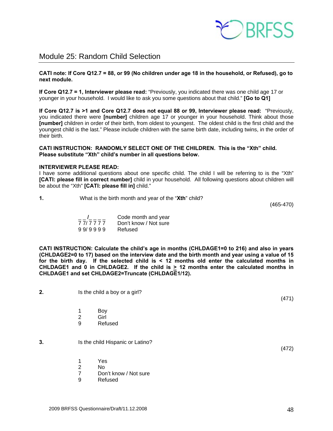

## Module 25: Random Child Selection

**CATI note: If Core Q12.7 = 88, or 99 (No children under age 18 in the household, or Refused), go to next module.** 

**If Core Q12.7 = 1, Interviewer please read:** "Previously, you indicated there was one child age 17 or younger in your household. I would like to ask you some questions about that child." **[Go to Q1]**

**If Core Q12.7 is >1 and Core Q12.7 does not equal 88 or 99, Interviewer please read:** "Previously, you indicated there were **[number]** children age 17 or younger in your household. Think about those **[number]** children in order of their birth, from oldest to youngest. The oldest child is the first child and the youngest child is the last." Please include children with the same birth date, including twins, in the order of their birth.

**CATI INSTRUCTION: RANDOMLY SELECT ONE OF THE CHILDREN. This is the "Xth" child. Please substitute "Xth" child's number in all questions below.** 

#### **INTERVIEWER PLEASE READ:**

I have some additional questions about one specific child. The child I will be referring to is the "Xth" **[CATI: please fill in correct number]** child in your household. All following questions about children will be about the "Xth" **[CATI: please fill in]** child."

| What is the birth month and year of the "Xth" child? |            |
|------------------------------------------------------|------------|
|                                                      | $107 - 17$ |

(465-470)

|         | Code month and year   |
|---------|-----------------------|
| 777777  | Don't know / Not sure |
| 99/9999 | Refused               |

**CATI INSTRUCTION: Calculate the child's age in months (CHLDAGE1=0 to 216) and also in years (CHLDAGE2=0 to 17) based on the interview date and the birth month and year using a value of 15 for the birth day. If the selected child is < 12 months old enter the calculated months in CHLDAGE1 and 0 in CHLDAGE2. If the child is > 12 months enter the calculated months in CHLDAGE1 and set CHLDAGE2=Truncate (CHLDAGE1/12).** 

| 2. | Is the child a boy or a girl?                      |  |
|----|----------------------------------------------------|--|
|    | Boy<br>1<br>Girl<br>$\overline{2}$<br>Refused<br>9 |  |
| 3. | Is the child Hispanic or Latino?                   |  |
|    | Yes<br>$\mathbf 1$<br>2<br>No                      |  |

9 Refused

7 Don't know / Not sure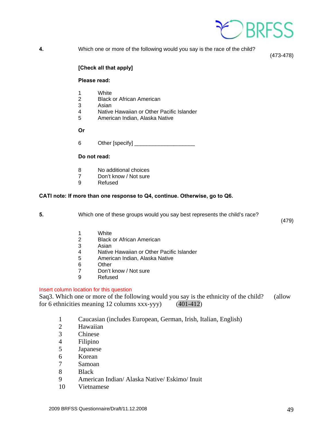

**4.** Which one or more of the following would you say is the race of the child?

(473-478)

#### **[Check all that apply]**

#### **Please read:**

- 1 White
- 2 Black or African American
- 3 Asian<br>4 Native
- Native Hawaiian or Other Pacific Islander
- 5 American Indian, Alaska Native

 **Or** 

6 Other [specify] \_\_\_\_\_\_\_\_\_\_\_\_\_\_\_\_\_\_\_\_

#### **Do not read:**

- 8 No additional choices<br>7 Don't know / Not sure
- 7 Don't know / Not sure<br>9 Refused
- **Refused**

#### **CATI note: If more than one response to Q4, continue. Otherwise, go to Q6.**

**5.** Which one of these groups would you say best represents the child's race?

(479)

- 1 White
- 2 Black or African American
- 3 Asian<br>4 Native
- Native Hawaiian or Other Pacific Islander
- 5 American Indian, Alaska Native
- 6 Other
- 7 Don't know / Not sure
- 9 Refused

#### Insert column location for this question

Saq3. Which one or more of the following would you say is the ethnicity of the child? (allow for 6 ethnicities meaning 12 columns xxx-yyy) (401-412)

- 1 Caucasian (includes European, German, Irish, Italian, English)
- 2 Hawaiian
- 3 Chinese
- 4 Filipino
- 5 Japanese
- 6 Korean
- 7 Samoan
- 8 Black
- 9 American Indian/ Alaska Native/ Eskimo/ Inuit
- 10 Vietnamese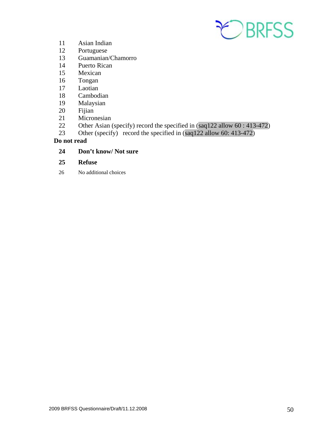

- 11 Asian Indian
- 12 Portuguese
- 13 Guamanian/Chamorro
- 14 Puerto Rican
- 15 Mexican
- 16 Tongan
- 17 Laotian
- 18 Cambodian
- 19 Malaysian
- 20 Fijian
- 21 Micronesian
- 22 Other Asian (specify) record the specified in (saq122 allow 60 : 413-472)
- 23 Other (specify) record the specified in (saq122 allow 60: 413-472)

#### **Do not read**

### **24 Don't know/ Not sure**

### **25 Refuse**

26 No additional choices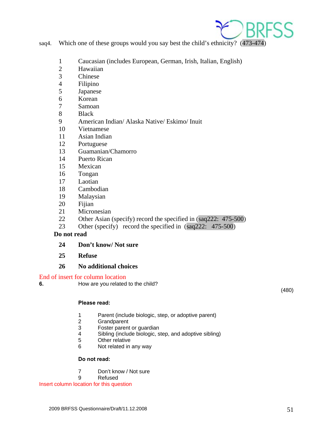

- saq4. Which one of these groups would you say best the child's ethnicity? (473-474)
	- 1 Caucasian (includes European, German, Irish, Italian, English)
	- 2 Hawaiian<br>3 Chinese
	- **Chinese**
	- 4 Filipino
	- 5 Japanese
	- 6 Korean
	- 7 Samoan
	- 8 Black
	- 9 American Indian/ Alaska Native/ Eskimo/ Inuit
	- 10 Vietnamese
	- 11 Asian Indian
	- 12 Portuguese
	- 13 Guamanian/Chamorro
	- 14 Puerto Rican
	- 15 Mexican
	- 16 Tongan
	- 17 Laotian
	- 18 Cambodian
	- 19 Malaysian
	- 20 Fijian
	- 21 Micronesian
	- 22 Other Asian (specify) record the specified in (saq222: 475-500)
	- 23 Other (specify) record the specified in (saq222: 475-500)

#### **Do not read**

- **24 Don't know/ Not sure**
- **25 Refuse**

#### **26 No additional choices**

#### End of insert for column location

**6. How are you related to the child?** 

(480)

#### **Please read:**

- 1 Parent (include biologic, step, or adoptive parent)
- **Grandparent**
- 3 Foster parent or guardian
- 4 Sibling (include biologic, step, and adoptive sibling)
- 5 Other relative
- 6 Not related in any way

#### **Do not read:**

- 7 Don't know / Not sure
- 9 Refused

Insert column location for this question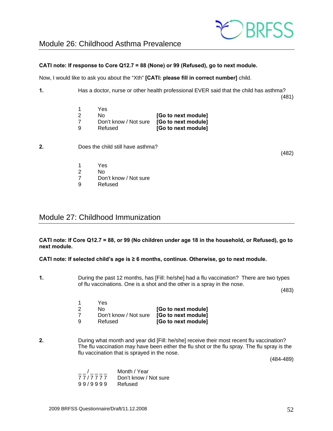

# Module 26: Childhood Asthma Prevalence

#### **CATI note: If response to Core Q12.7 = 88 (None) or 99 (Refused), go to next module.**

Now, I would like to ask you about the "Xth" **[CATI: please fill in correct number]** child.

**1.** Has a doctor, nurse or other health professional EVER said that the child has asthma? (481)

|   | Yes                   |                     |
|---|-----------------------|---------------------|
|   | N٥                    | [Go to next module] |
|   | Don't know / Not sure | [Go to next module] |
| a | Refused               | [Go to next module] |

**2.** Does the child still have asthma?

(482)

- 1 Yes
- 2 No<br>7 Dor
- Don't know / Not sure
- 9 Refused

# Module 27: Childhood Immunization

**CATI note: If Core Q12.7 = 88, or 99 (No children under age 18 in the household, or Refused), go to next module.** 

**CATI note: If selected child's age is ≥ 6 months, continue. Otherwise, go to next module.** 

**1.** During the past 12 months, has [Fill: he/she] had a flu vaccination? There are two types of flu vaccinations. One is a shot and the other is a spray in the nose.

(483)

| Yes                   |                     |
|-----------------------|---------------------|
| N٥                    | [Go to next module] |
| Don't know / Not sure | [Go to next module] |
| Refused               | [Go to next module] |
|                       |                     |

**2.** During what month and year did [Fill: he/she] receive their most recent flu vaccination? The flu vaccination may have been either the flu shot or the flu spray. The flu spray is the flu vaccination that is sprayed in the nose.

(484-489)

|         | Month / Year          |
|---------|-----------------------|
| 77/7777 | Don't know / Not sure |
| 99/9999 | Refused               |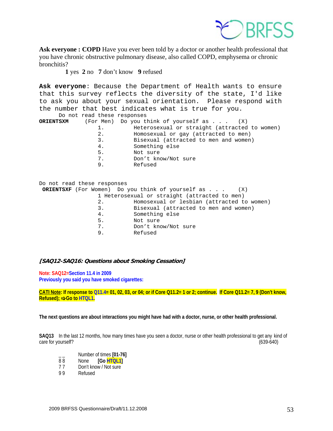

Ask everyone : COPD Have you ever been told by a doctor or another health professional that you have chronic obstructive pulmonary disease, also called COPD, emphysema or chronic bronchitis?

**1** yes **2** no **7** don't know **9** refused

**Ask everyone**: Because the Department of Health wants to ensure that this survey reflects the diversity of the state, I'd like to ask you about your sexual orientation. Please respond with the number that best indicates what is true for you.

Do not read these responses

| ORIENTSXM |    | (For Men) Do you think of yourself as $\ldots$ (X) |
|-----------|----|----------------------------------------------------|
|           | 1. | Heterosexual or straight (attracted to women)      |
|           | 2. | Homosexual or gay (attracted to men)               |
|           | 3. | Bisexual (attracted to men and women)              |
|           | 4. | Something else                                     |
|           | 5. | Not sure                                           |
|           | 7. | Don't know/Not sure                                |
|           | 9. | Refused                                            |
|           |    |                                                    |

| Do not read these responses                   |                                                                       |  |
|-----------------------------------------------|-----------------------------------------------------------------------|--|
|                                               | <b>ORIENTSXF</b> (For Women) Do you think of yourself as $\ldots$ (X) |  |
| 1 Heterosexual or straight (attracted to men) |                                                                       |  |
| 2.                                            | Homosexual or lesbian (attracted to women)                            |  |
| 3.                                            | Bisexual (attracted to men and women)                                 |  |
| 4.                                            | Something else                                                        |  |
| 5.                                            | Not sure                                                              |  |
| 7.                                            | Don't know/Not sure                                                   |  |
| 9.                                            | Refused                                                               |  |
|                                               |                                                                       |  |

#### **[SAQ12-SAQ16: Questions about Smoking Cessation]**

**Note: SAQ12=Section 11.4 in 2009 Previously you said you have smoked cigarettes:** 

**CATI Note: If response to Q11.4= 01, 02, 03, or 04; or if Core Q11.2= 1 or 2; continue. If Core Q11.2= 7, 9 (Don't know, Refused);**  $\Rightarrow$  **Go to HTQL1.** 

**The next questions are about interactions you might have had with a doctor, nurse, or other health professional.** 

**SAQ13** In the last 12 months, how many times have you seen a doctor, nurse or other health professional to get any kind of care for yourself? (639-640)

- $\frac{1}{88}$  Number of times **[01-76]**<br>88 None **IGo HTOL1**
- None **[Go HTQL1]**
- 7 7 Don't know / Not sure
- 9 9 Refused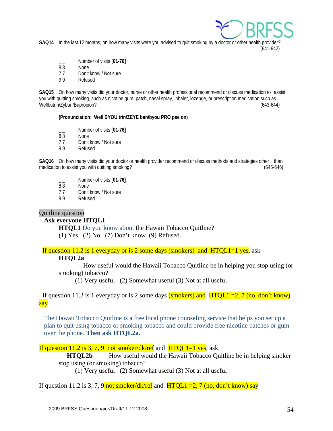

**SAQ14** In the last 12 months, on how many visits were you advised to quit smoking by a doctor or other health provider? (641-642)

- Number of visits [01-76]
- 8 8 None
- 7 7 Don't know / Not sure
- 9 9 Refused

**SAQ15** On how many visits did your doctor, nurse or other health professional recommend or discuss medication to assist you with quitting smoking, such as nicotine gum, patch, nasal spray, inhaler, lozenge, or prescription medication such as Wellbutrin/Zyban/Bupropion? (643-644)

**(Pronunciation: Well BYOU trin/ZEYE ban/byou PRO pee on)**

- \_ \_ Number of visits **[01-76]**
- None
- 7 7 Don't know / Not sure
- 9 9 Refused

**SAQ16** On how many visits did your doctor or health provider recommend or discuss methods and strategies other than medication to assist you with quitting smoking? (645-646)

- \_ \_ Number of visits **[01-76]**
- None
- 77 Don't know / Not sure<br>99 Refused
- **Refused**

#### Quitline question

#### **Ask everyone HTQL1**

**HTQL1** Do you know about the Hawaii Tobacco Quitline? (1) Yes (2) No (7) Don't know (9) Refused.

If question 11.2 is 1 everyday or is 2 some days (smokers) and HTQL1=1 yes, ask

#### **HTQL2a**

 How useful would the Hawaii Tobacco Quitline be in helping you stop using (or smoking) tobacco?

(1) Very useful (2) Somewhat useful (3) Not at all useful

If question 11.2 is 1 everyday or is 2 some days (smokers) and  $HTQL1 = 2, 7$  (no, don't know) say

The Hawaii Tobacco Quitline is a free local phone counseling service that helps you set up a plan to quit using tobacco or smoking tobacco and could provide free nicotine patches or gum over the phone. **Then ask HTQL2a.** 

If question 11.2 is 3, 7, 9 not smoker/dk/ref and  $HTOL1=1$  yes, ask

**HTQL2b** How useful would the Hawaii Tobacco Quitline be in helping smoker stop using (or smoking) tobacco?

(1) Very useful (2) Somewhat useful (3) Not at all useful

If question 11.2 is 3, 7, 9 not smoker/dk/ref and  $HTQL1 = 2$ , 7 (no, don't know) say